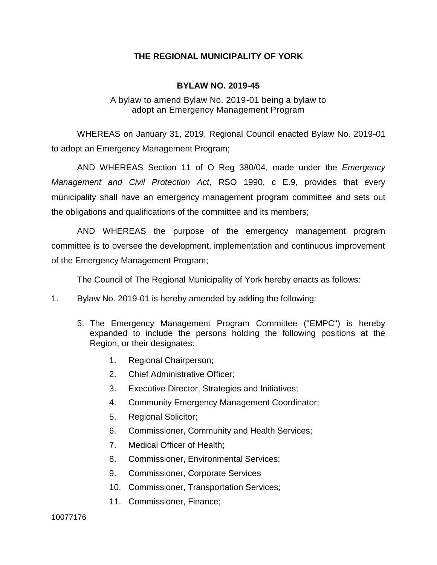## **THE REGIONAL MUNICIPALITY OF YORK**

## **BYLAW NO. 2019-45**

## A bylaw to amend Bylaw No. 2019-01 being a bylaw to adopt an Emergency Management Program

WHEREAS on January 31, 2019, Regional Council enacted Bylaw No. 2019-01 to adopt an Emergency Management Program;

AND WHEREAS Section 11 of O Reg 380/04, made under the *Emergency Management and Civil Protection Act*, RSO 1990, c E.9, provides that every municipality shall have an emergency management program committee and sets out the obligations and qualifications of the committee and its members;

AND WHEREAS the purpose of the emergency management program committee is to oversee the development, implementation and continuous improvement of the Emergency Management Program;

The Council of The Regional Municipality of York hereby enacts as follows:

- 1. Bylaw No. 2019-01 is hereby amended by adding the following:
	- 5. The Emergency Management Program Committee ("EMPC") is hereby expanded to include the persons holding the following positions at the Region, or their designates:
		- 1. Regional Chairperson;
		- 2. Chief Administrative Officer;
		- 3. Executive Director, Strategies and Initiatives;
		- 4. Community Emergency Management Coordinator;
		- 5. Regional Solicitor;
		- 6. Commissioner, Community and Health Services;
		- 7. Medical Officer of Health;
		- 8. Commissioner, Environmental Services;
		- 9. Commissioner, Corporate Services
		- 10. Commissioner, Transportation Services;
		- 11. Commissioner, Finance;